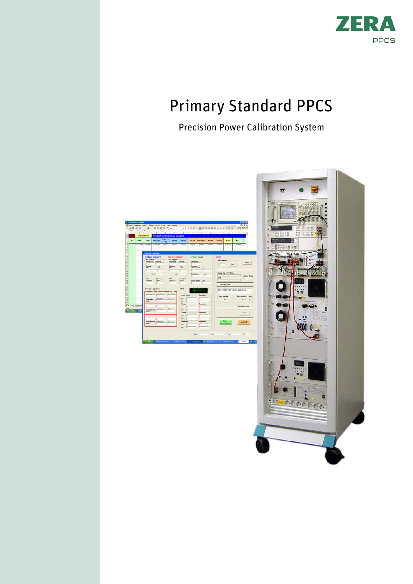

# Primary Standard PPCS

Precision Power Calibration System

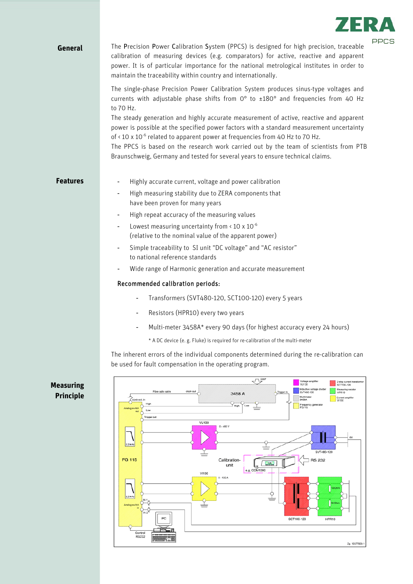

### **General**

PPCS The <sup>P</sup>recision Power Calibration System (PPCS) is designed for high precision, traceable calibration of measuring devices (e.g. comparators) for active, reactive and apparent power. It is of particular importance for the national metrological institutes in order to maintain the traceability within country and internationally.

The single-phase Precision Power Calibration System produces sinus-type voltages and currents with adjustable phase shifts from  $0^{\circ}$  to  $\pm 180^{\circ}$  and frequencies from 40 Hz to 70 Hz.

The steady generation and highly accurate measurement of active, reactive and apparent power is possible at the specified power factors with a standard measurement uncertainty of  $\leq$  10 x 10<sup>-6</sup> related to apparent power at frequencies from 40 Hz to 70 Hz.

The PPCS is based on the research work carried out by the team of scientists from PTB Braunschweig, Germany and tested for several years to ensure technical claims.

#### **Features**

- Highly accurate current, voltage and power calibration
- High measuring stability due to ZERA components that have been proven for many years
- High repeat accuracy of the measuring values
- Lowest measuring uncertainty from  $\leq 10 \times 10^{-6}$ (relative to the nominal value of the apparent power)
- Simple traceability to SI unit "DC voltage" and "AC resistor" to national reference standards
- Wide range of Harmonic generation and accurate measurement

#### Recommended calibration periods:

- Transformers (SVT480-120, SCT100-120) every 5 years
- Resistors (HPR10) every two years
- Multi-meter 3458A\* every 90 days (for highest accuracy every 24 hours)
	- \* A DC device (e. g. Fluke) is required for re-calibration of the multi-meter

The inherent errors of the individual components determined during the re-calibration can be used for fault compensation in the operating program.



## **Measuring Principle**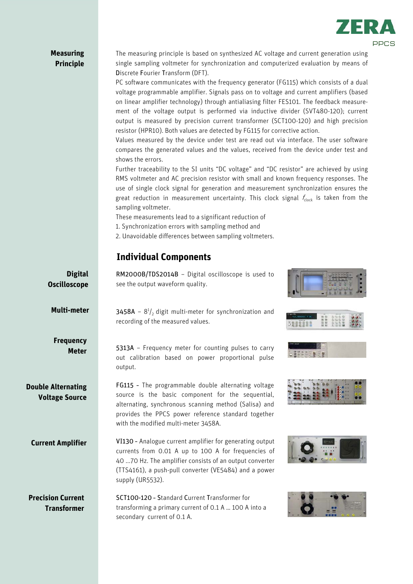

## RM2000B/TDS2014B – Digital oscilloscope is used to see the output waveform quality. **3458A** -  $8^{1}/_{2}$  digit multi-meter for synchronization and recording of the measured values. 5313A – Frequency meter for counting pulses to carry out calibration based on power proportional pulse output. FG115 – The programmable double alternating voltage source is the basic component for the sequential, alternating, synchronous scanning method (Salisa) and provides the PPCS power reference standard together with the modified multi-meter 3458A. VI130 – Analogue current amplifier for generating output currents from 0.01 A up to 100 A for frequencies of 40 ...70 Hz. The amplifier consists of an output converter (TTS4161), a push-pull converter (VE5484) and a power supply (UR5532). SCT100-120 – Standard Current Transformer for transforming a primary current of 0.1 A … 100 A into a **Digital Oscilloscope** The measuring principle is based on synthesized AC voltage and current generation using single sampling voltmeter for synchronization and computerized evaluation by means of Discrete Fourier Transform (DFT). PC software communicates with the frequency generator (FG115) which consists of a dual voltage programmable amplifier. Signals pass on to voltage and current amplifiers (based on linear amplifier technology) through antialiasing filter FES101. The feedback measurement of the voltage output is performed via inductive divider (SVT480-120); current output is measured by precision current transformer (SCT100-120) and high precision resistor (HPR10). Both values are detected by FG115 for corrective action. Values measured by the device under test are read out via interface. The user software compares the generated values and the values, received from the device under test and shows the errors. Further traceability to the SI units "DC voltage" and "DC resistor" are achieved by using RMS voltmeter and AC precision resistor with small and known frequency responses. The use of single clock signal for generation and measurement synchronization ensures the great reduction in measurement uncertainty. This clock signal  $f_{clock}$  is taken from the sampling voltmeter. These measurements lead to a significant reduction of 1. Synchronization errors with sampling method and 2. Unavoidable differences between sampling voltmeters. **Measuring Principle Double Alternating Voltage Source Precision Current Transformer Current Amplifier Multi-meter Frequency Meter Individual Components**

secondary current of 0.1 A.